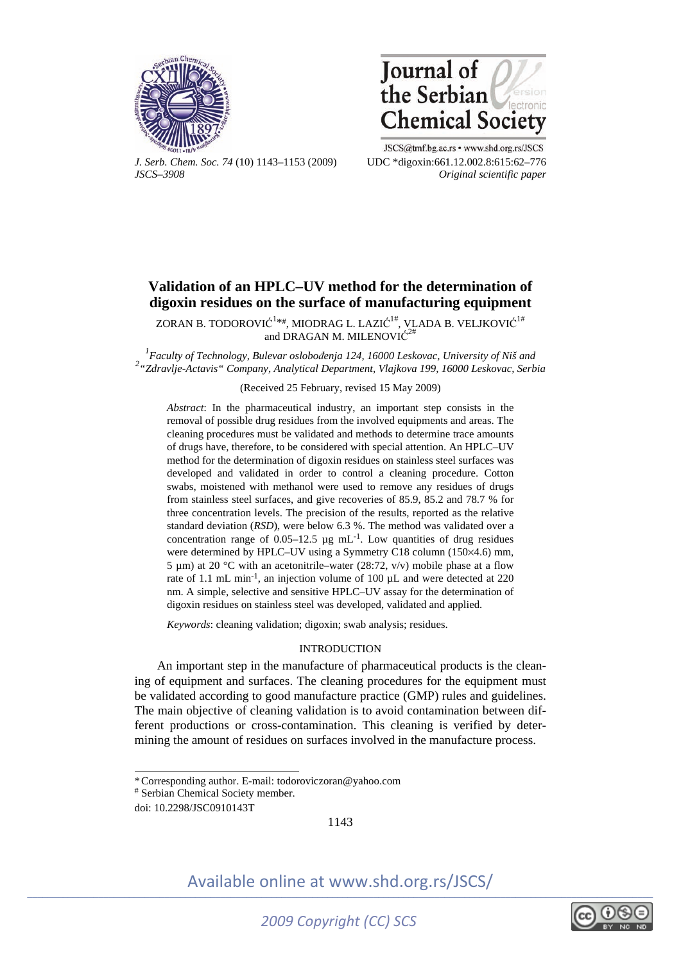



*J. Serb. Chem. Soc. 74* (10) 1143–1153 (2009) UDC \*digoxin:661.12.002.8:615:62–776 *JSCS–3908 Original scientific paper* 

JSCS@tmf.bg.ac.rs • www.shd.org.rs/JSCS

# **Validation of an HPLC–UV method for the determination of digoxin residues on the surface of manufacturing equipment**

ZORAN B. TODOROVIĆ $^{1**}$ , MIODRAG L. LAZIĆ $^{1\#}$ , VLADA B. VELJKOVIĆ $^{1\#}$ and DRAGAN M. MILENOVI $\acute{C}^2$ 

<sup>1</sup><br><sup>2</sup> *Faculty of Technology, Bulevar oslobođenja 124, 16000 Leskovac, University of Niš and*<br><sup>2</sup> <sup>2</sup> <sup>2</sup> *Z* danija Astrois'' Caura vur Anglytige Denotury Mailana 100, 16000 Leskovac, Sark *"Zdravlje-Actavis" Company, Analytical Department, Vlajkova 199, 16000 Leskovac, Serbia* 

### (Received 25 February, revised 15 May 2009)

*Abstract*: In the pharmaceutical industry, an important step consists in the removal of possible drug residues from the involved equipments and areas. The cleaning procedures must be validated and methods to determine trace amounts of drugs have, therefore, to be considered with special attention. An HPLC–UV method for the determination of digoxin residues on stainless steel surfaces was developed and validated in order to control a cleaning procedure. Cotton swabs, moistened with methanol were used to remove any residues of drugs from stainless steel surfaces, and give recoveries of 85.9, 85.2 and 78.7 % for three concentration levels. The precision of the results, reported as the relative standard deviation (*RSD*), were below 6.3 %. The method was validated over a concentration range of  $0.05-12.5$  µg mL<sup>-1</sup>. Low quantities of drug residues were determined by HPLC–UV using a Symmetry C18 column (150×4.6) mm, 5 µm) at 20 °C with an acetonitrile–water (28:72, v/v) mobile phase at a flow rate of 1.1 mL min-1, an injection volume of 100 µL and were detected at 220 nm. A simple, selective and sensitive HPLC–UV assay for the determination of digoxin residues on stainless steel was developed, validated and applied.

*Keywords*: cleaning validation; digoxin; swab analysis; residues.

# INTRODUCTION

An important step in the manufacture of pharmaceutical products is the cleaning of equipment and surfaces. The cleaning procedures for the equipment must be validated according to good manufacture practice (GMP) rules and guidelines. The main objective of cleaning validation is to avoid contamination between different productions or cross-contamination. This cleaning is verified by determining the amount of residues on surfaces involved in the manufacture process.

 $\overline{\phantom{a}}$ 

1143



<sup>\*</sup> Corresponding author. E-mail: todoroviczoran@yahoo.com

<sup>#</sup> Serbian Chemical Society member.

doi: 10.2298/JSC0910143T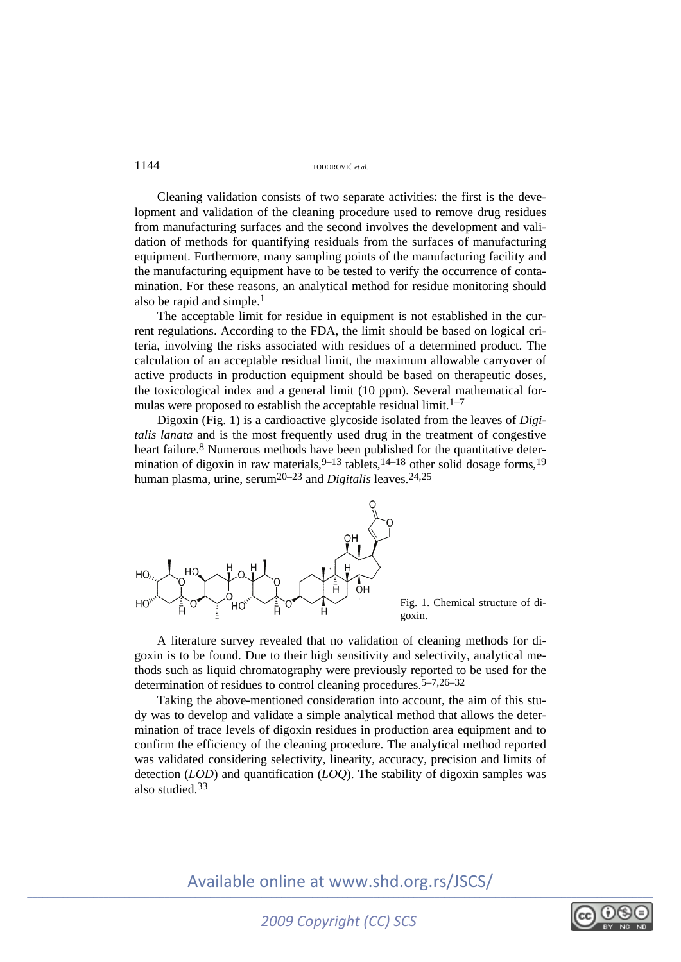Cleaning validation consists of two separate activities: the first is the development and validation of the cleaning procedure used to remove drug residues from manufacturing surfaces and the second involves the development and validation of methods for quantifying residuals from the surfaces of manufacturing equipment. Furthermore, many sampling points of the manufacturing facility and the manufacturing equipment have to be tested to verify the occurrence of contamination. For these reasons, an analytical method for residue monitoring should also be rapid and simple.<sup>1</sup>

The acceptable limit for residue in equipment is not established in the current regulations. According to the FDA, the limit should be based on logical criteria, involving the risks associated with residues of a determined product. The calculation of an acceptable residual limit, the maximum allowable carryover of active products in production equipment should be based on therapeutic doses, the toxicological index and a general limit (10 ppm). Several mathematical formulas were proposed to establish the acceptable residual limit.<sup>1–7</sup>

Digoxin (Fig. 1) is a cardioactive glycoside isolated from the leaves of *Digitalis lanata* and is the most frequently used drug in the treatment of congestive heart failure.<sup>8</sup> Numerous methods have been published for the quantitative determination of digoxin in raw materials,  $9-13$  tablets,  $14-18$  other solid dosage forms,  $19$ human plasma, urine, serum<sup>20–23</sup> and *Digitalis* leaves.<sup>24,25</sup>



Fig. 1. Chemical structure of digoxin.

A literature survey revealed that no validation of cleaning methods for digoxin is to be found. Due to their high sensitivity and selectivity, analytical methods such as liquid chromatography were previously reported to be used for the determination of residues to control cleaning procedures.5–7,26–32

Taking the above-mentioned consideration into account, the aim of this study was to develop and validate a simple analytical method that allows the determination of trace levels of digoxin residues in production area equipment and to confirm the efficiency of the cleaning procedure. The analytical method reported was validated considering selectivity, linearity, accuracy, precision and limits of detection (*LOD*) and quantification (*LOQ*). The stability of digoxin samples was also studied.33

$$
\text{O}\underset{\text{BV} \text{NG} \text{ NLO}}{\bigcirc} \text{O}
$$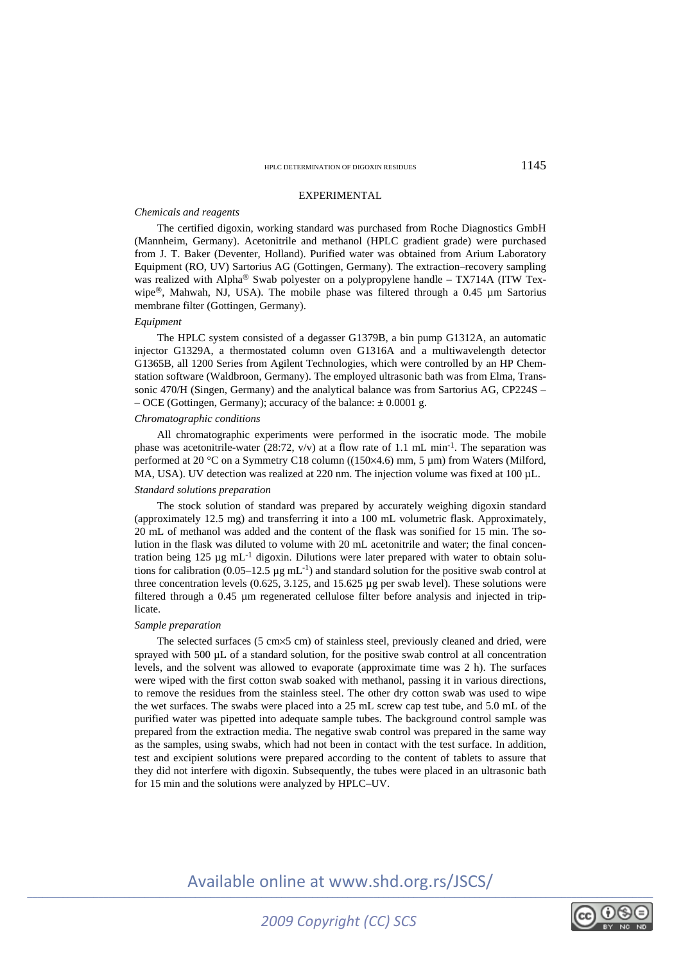#### EXPERIMENTAL

#### *Chemicals and reagents*

The certified digoxin, working standard was purchased from Roche Diagnostics GmbH (Mannheim, Germany). Acetonitrile and methanol (HPLC gradient grade) were purchased from J. T. Baker (Deventer, Holland). Purified water was obtained from Arium Laboratory Equipment (RO, UV) Sartorius AG (Gottingen, Germany). The extraction–recovery sampling was realized with Alpha® Swab polyester on a polypropylene handle – TX714A (ITW Texwipe®, Mahwah, NJ, USA). The mobile phase was filtered through a 0.45 µm Sartorius membrane filter (Gottingen, Germany).

#### *Equipment*

The HPLC system consisted of a degasser G1379B, a bin pump G1312A, an automatic injector G1329A, a thermostated column oven G1316A and a multiwavelength detector G1365B, all 1200 Series from Agilent Technologies, which were controlled by an HP Chemstation software (Waldbroon, Germany). The employed ultrasonic bath was from Elma, Transsonic 470/H (Singen, Germany) and the analytical balance was from Sartorius AG, CP224S – – OCE (Gottingen, Germany); accuracy of the balance:  $\pm 0.0001$  g.

#### *Chromatographic conditions*

All chromatographic experiments were performed in the isocratic mode. The mobile phase was acetonitrile-water (28:72,  $v/v$ ) at a flow rate of 1.1 mL min<sup>-1</sup>. The separation was performed at 20 °C on a Symmetry C18 column ((150×4.6) mm, 5 µm) from Waters (Milford, MA, USA). UV detection was realized at 220 nm. The injection volume was fixed at 100 µL.

#### *Standard solutions preparation*

The stock solution of standard was prepared by accurately weighing digoxin standard (approximately 12.5 mg) and transferring it into a 100 mL volumetric flask. Approximately, 20 mL of methanol was added and the content of the flask was sonified for 15 min. The solution in the flask was diluted to volume with 20 mL acetonitrile and water; the final concentration being  $125 \text{ µg} \text{ mL}^{-1}$  digoxin. Dilutions were later prepared with water to obtain solutions for calibration (0.05–12.5  $\mu$ g mL<sup>-1</sup>) and standard solution for the positive swab control at three concentration levels  $(0.625, 3.125, 3.125, 1.125)$  ug per swab level). These solutions were filtered through a 0.45 µm regenerated cellulose filter before analysis and injected in triplicate.

#### *Sample preparation*

The selected surfaces (5 cm×5 cm) of stainless steel, previously cleaned and dried, were sprayed with 500 µL of a standard solution, for the positive swab control at all concentration levels, and the solvent was allowed to evaporate (approximate time was 2 h). The surfaces were wiped with the first cotton swab soaked with methanol, passing it in various directions, to remove the residues from the stainless steel. The other dry cotton swab was used to wipe the wet surfaces. The swabs were placed into a 25 mL screw cap test tube, and 5.0 mL of the purified water was pipetted into adequate sample tubes. The background control sample was prepared from the extraction media. The negative swab control was prepared in the same way as the samples, using swabs, which had not been in contact with the test surface. In addition, test and excipient solutions were prepared according to the content of tablets to assure that they did not interfere with digoxin. Subsequently, the tubes were placed in an ultrasonic bath for 15 min and the solutions were analyzed by HPLC–UV.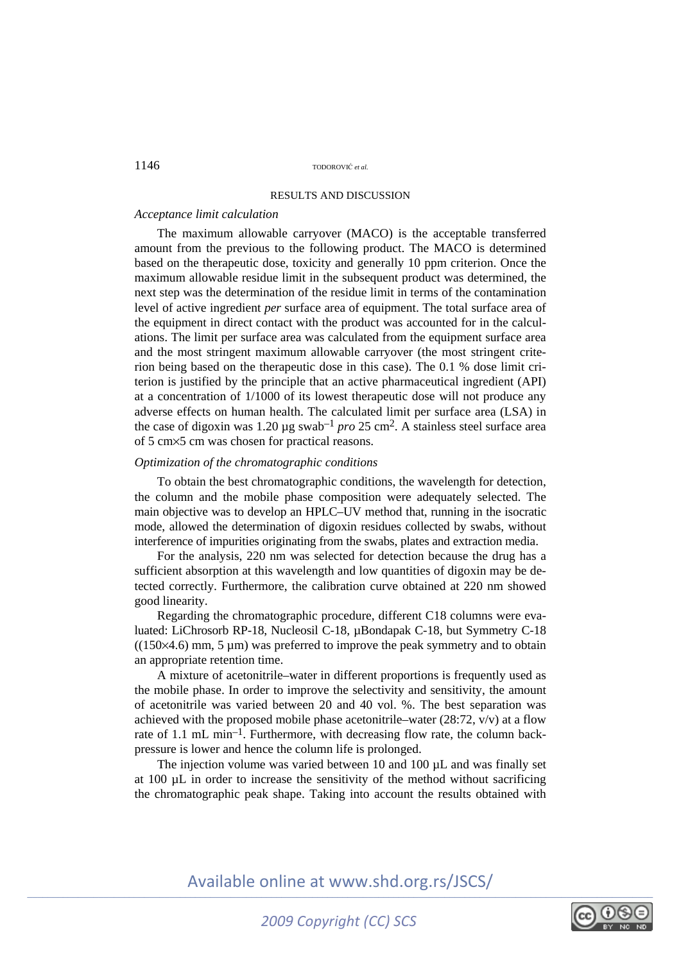### RESULTS AND DISCUSSION

#### *Acceptance limit calculation*

The maximum allowable carryover (MACO) is the acceptable transferred amount from the previous to the following product. The MACO is determined based on the therapeutic dose, toxicity and generally 10 ppm criterion. Once the maximum allowable residue limit in the subsequent product was determined, the next step was the determination of the residue limit in terms of the contamination level of active ingredient *per* surface area of equipment. The total surface area of the equipment in direct contact with the product was accounted for in the calculations. The limit per surface area was calculated from the equipment surface area and the most stringent maximum allowable carryover (the most stringent criterion being based on the therapeutic dose in this case). The 0.1 % dose limit criterion is justified by the principle that an active pharmaceutical ingredient (API) at a concentration of 1/1000 of its lowest therapeutic dose will not produce any adverse effects on human health. The calculated limit per surface area (LSA) in the case of digoxin was 1.20  $\mu$ g swab<sup>-1</sup> *pro* 25 cm<sup>2</sup>. A stainless steel surface area of 5 cm×5 cm was chosen for practical reasons.

# *Optimization of the chromatographic conditions*

To obtain the best chromatographic conditions, the wavelength for detection, the column and the mobile phase composition were adequately selected. The main objective was to develop an HPLC–UV method that, running in the isocratic mode, allowed the determination of digoxin residues collected by swabs, without interference of impurities originating from the swabs, plates and extraction media.

For the analysis, 220 nm was selected for detection because the drug has a sufficient absorption at this wavelength and low quantities of digoxin may be detected correctly. Furthermore, the calibration curve obtained at 220 nm showed good linearity.

Regarding the chromatographic procedure, different C18 columns were evaluated: LiChrosorb RP-18, Nucleosil C-18, µBondapak C-18, but Symmetry C-18  $((150\times4.6)$  mm, 5 µm) was preferred to improve the peak symmetry and to obtain an appropriate retention time.

A mixture of acetonitrile–water in different proportions is frequently used as the mobile phase. In order to improve the selectivity and sensitivity, the amount of acetonitrile was varied between 20 and 40 vol. %. The best separation was achieved with the proposed mobile phase acetonitrile–water (28:72,  $v/v$ ) at a flow rate of 1.1 mL min<sup>-1</sup>. Furthermore, with decreasing flow rate, the column backpressure is lower and hence the column life is prolonged.

The injection volume was varied between 10 and 100 µL and was finally set at 100 µL in order to increase the sensitivity of the method without sacrificing the chromatographic peak shape. Taking into account the results obtained with

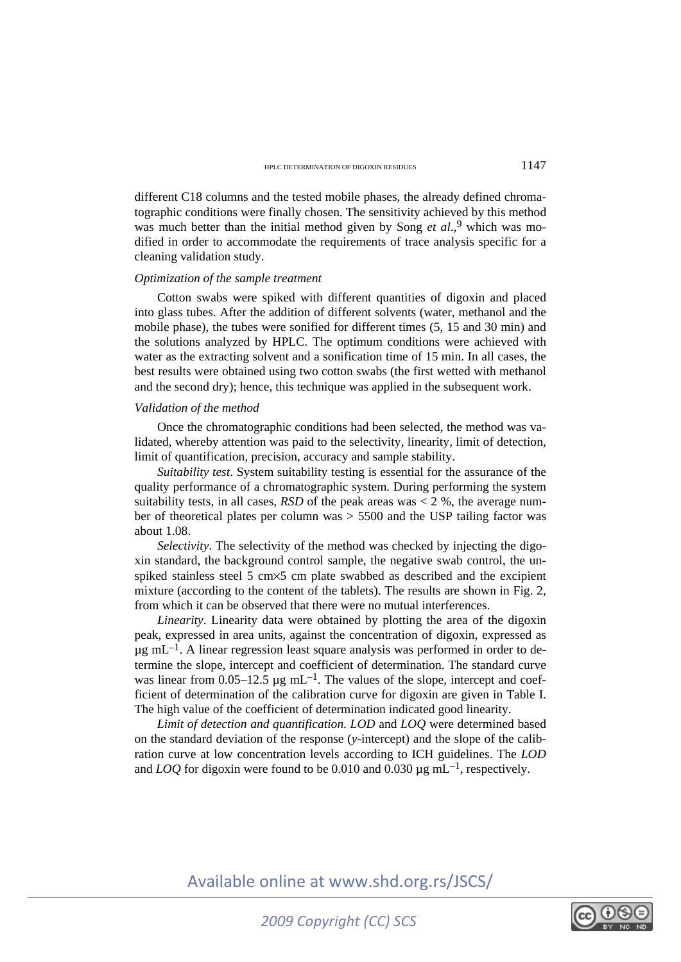different C18 columns and the tested mobile phases, the already defined chromatographic conditions were finally chosen. The sensitivity achieved by this method was much better than the initial method given by Song *et al.*,<sup>9</sup> which was modified in order to accommodate the requirements of trace analysis specific for a cleaning validation study.

#### *Optimization of the sample treatment*

Cotton swabs were spiked with different quantities of digoxin and placed into glass tubes. After the addition of different solvents (water, methanol and the mobile phase), the tubes were sonified for different times (5, 15 and 30 min) and the solutions analyzed by HPLC. The optimum conditions were achieved with water as the extracting solvent and a sonification time of 15 min. In all cases, the best results were obtained using two cotton swabs (the first wetted with methanol and the second dry); hence, this technique was applied in the subsequent work.

### *Validation of the method*

Once the chromatographic conditions had been selected, the method was validated, whereby attention was paid to the selectivity, linearity, limit of detection, limit of quantification, precision, accuracy and sample stability.

*Suitability test*. System suitability testing is essential for the assurance of the quality performance of a chromatographic system. During performing the system suitability tests, in all cases,  $RSD$  of the peak areas was  $<$  2 %, the average number of theoretical plates per column was > 5500 and the USP tailing factor was about 1.08.

*Selectivity*. The selectivity of the method was checked by injecting the digoxin standard, the background control sample, the negative swab control, the unspiked stainless steel 5 cm×5 cm plate swabbed as described and the excipient mixture (according to the content of the tablets). The results are shown in Fig. 2, from which it can be observed that there were no mutual interferences.

*Linearity*. Linearity data were obtained by plotting the area of the digoxin peak, expressed in area units, against the concentration of digoxin, expressed as  $\mu$ g mL<sup>-1</sup>. A linear regression least square analysis was performed in order to determine the slope, intercept and coefficient of determination. The standard curve was linear from  $0.05-12.5 \mu g \text{ mL}^{-1}$ . The values of the slope, intercept and coefficient of determination of the calibration curve for digoxin are given in Table I. The high value of the coefficient of determination indicated good linearity.

*Limit of detection and quantification*. *LOD* and *LOQ* were determined based on the standard deviation of the response (*y*-intercept) and the slope of the calibration curve at low concentration levels according to ICH guidelines. The *LOD* and *LOQ* for digoxin were found to be 0.010 and 0.030  $\mu$ g mL<sup>-1</sup>, respectively.

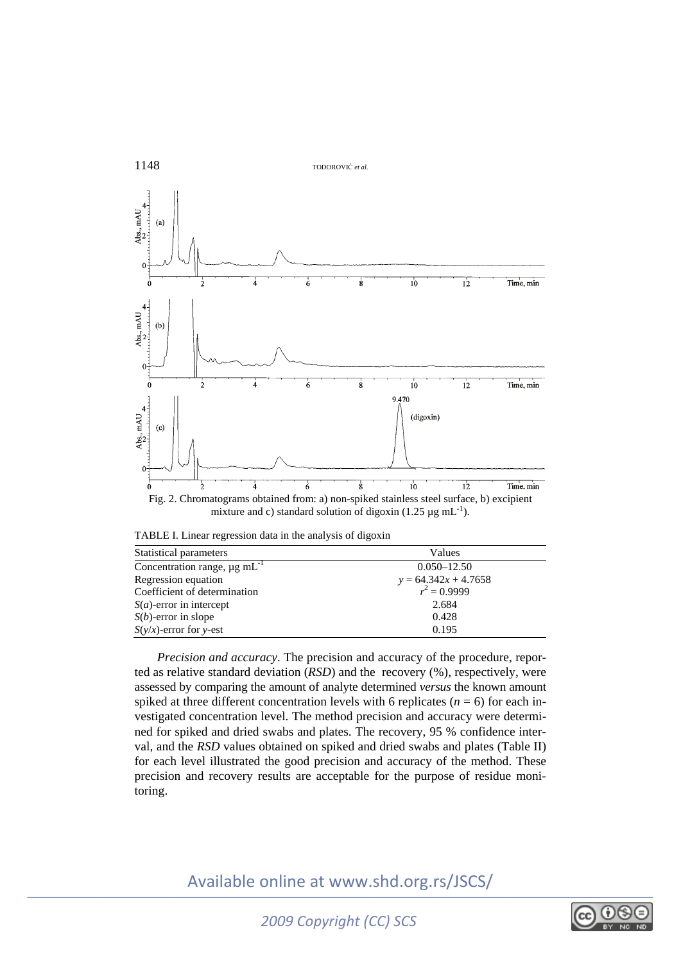



TABLE I. Linear regression data in the analysis of digoxin

| Statistical parameters                        | Values                 |
|-----------------------------------------------|------------------------|
| Concentration range, $\mu$ g mL <sup>-1</sup> | $0.050 - 12.50$        |
| Regression equation                           | $y = 64.342x + 4.7658$ |
| Coefficient of determination                  | $r^2 = 0.9999$         |
| $S(a)$ -error in intercept                    | 2.684                  |
| $S(b)$ -error in slope                        | 0.428                  |
| $S(y/x)$ -error for y-est                     | 0.195                  |

*Precision and accuracy*. The precision and accuracy of the procedure, reported as relative standard deviation (*RSD*) and the recovery (%), respectively, were assessed by comparing the amount of analyte determined *versus* the known amount spiked at three different concentration levels with 6 replicates  $(n = 6)$  for each investigated concentration level. The method precision and accuracy were determined for spiked and dried swabs and plates. The recovery, 95 % confidence interval, and the *RSD* values obtained on spiked and dried swabs and plates (Table II) for each level illustrated the good precision and accuracy of the method. These precision and recovery results are acceptable for the purpose of residue monitoring.

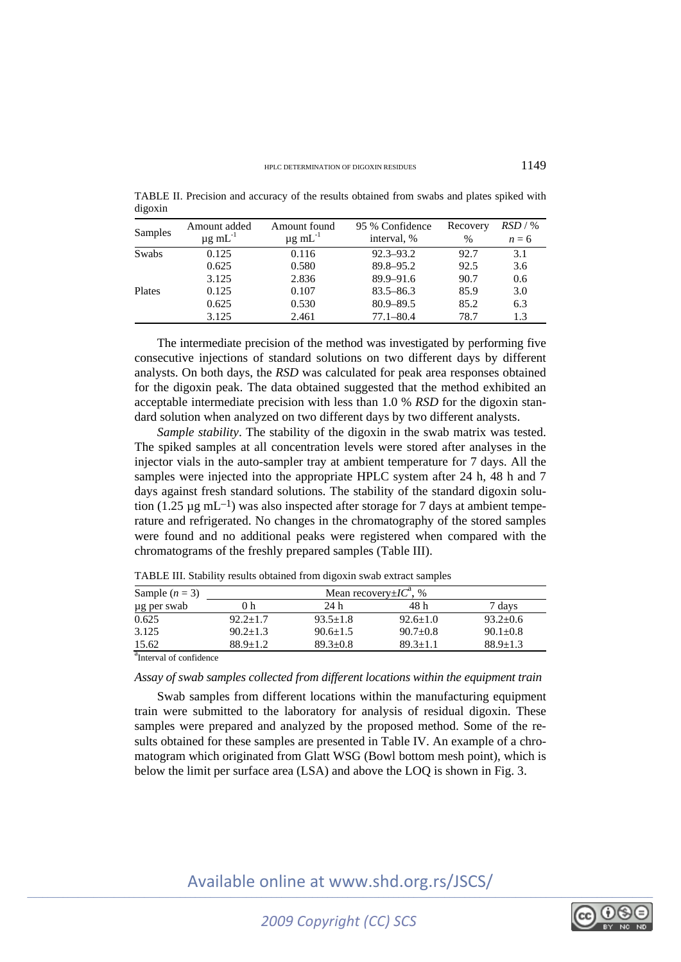| Samples | Amount added<br>$\mu$ g mL <sup>-1</sup> | Amount found<br>$\mu$ g m $L^{-1}$ | 95 % Confidence<br>interval, % | Recovery<br>$\frac{0}{0}$ | RSD / %<br>$n = 6$ |
|---------|------------------------------------------|------------------------------------|--------------------------------|---------------------------|--------------------|
| Swabs   | 0.125                                    | 0.116                              | $92.3 - 93.2$                  | 92.7                      | 3.1                |
|         | 0.625                                    | 0.580                              | 89.8–95.2                      | 92.5                      | 3.6                |
|         | 3.125                                    | 2.836                              | $89.9 - 91.6$                  | 90.7                      | 0.6                |
| Plates  | 0.125                                    | 0.107                              | $83.5 - 86.3$                  | 85.9                      | 3.0                |
|         | 0.625                                    | 0.530                              | $80.9 - 89.5$                  | 85.2                      | 6.3                |
|         | 3.125                                    | 2.461                              | $77.1 - 80.4$                  | 78.7                      | 1.3                |

TABLE II. Precision and accuracy of the results obtained from swabs and plates spiked with digoxin

The intermediate precision of the method was investigated by performing five consecutive injections of standard solutions on two different days by different analysts. On both days, the *RSD* was calculated for peak area responses obtained for the digoxin peak. The data obtained suggested that the method exhibited an acceptable intermediate precision with less than 1.0 % *RSD* for the digoxin standard solution when analyzed on two different days by two different analysts.

*Sample stability*. The stability of the digoxin in the swab matrix was tested. The spiked samples at all concentration levels were stored after analyses in the injector vials in the auto-sampler tray at ambient temperature for 7 days. All the samples were injected into the appropriate HPLC system after 24 h, 48 h and 7 days against fresh standard solutions. The stability of the standard digoxin solution (1.25  $\mu$ g mL<sup>-1</sup>) was also inspected after storage for 7 days at ambient temperature and refrigerated. No changes in the chromatography of the stored samples were found and no additional peaks were registered when compared with the chromatograms of the freshly prepared samples (Table III).

| Sample $(n = 3)$                        | Mean recovery $\pm IC^a$ , % |                |                |              |  |
|-----------------------------------------|------------------------------|----------------|----------------|--------------|--|
| µg per swab                             | ) h                          | 24 h           | 48 h           | 7 davs       |  |
| 0.625                                   | $92.2 + 1.7$                 | $93.5 + 1.8$   | $92.6 \pm 1.0$ | $93.2 + 0.6$ |  |
| 3.125                                   | $90.2 + 1.3$                 | $90.6 \pm 1.5$ | $90.7 \pm 0.8$ | $90.1 + 0.8$ |  |
| 15.62                                   | $88.9 + 1.2$                 | $89.3 + 0.8$   | $89.3 \pm 1.1$ | $88.9 + 1.3$ |  |
| $a_{\text{Total}}$ = 1 = $c = r$ ; i.e. |                              |                |                |              |  |

TABLE III. Stability results obtained from digoxin swab extract samples

**Interval of confidence** 

*Assay of swab samples collected from different locations within the equipment train* 

Swab samples from different locations within the manufacturing equipment train were submitted to the laboratory for analysis of residual digoxin. These samples were prepared and analyzed by the proposed method. Some of the results obtained for these samples are presented in Table IV. An example of a chromatogram which originated from Glatt WSG (Bowl bottom mesh point), which is below the limit per surface area (LSA) and above the LOQ is shown in Fig. 3.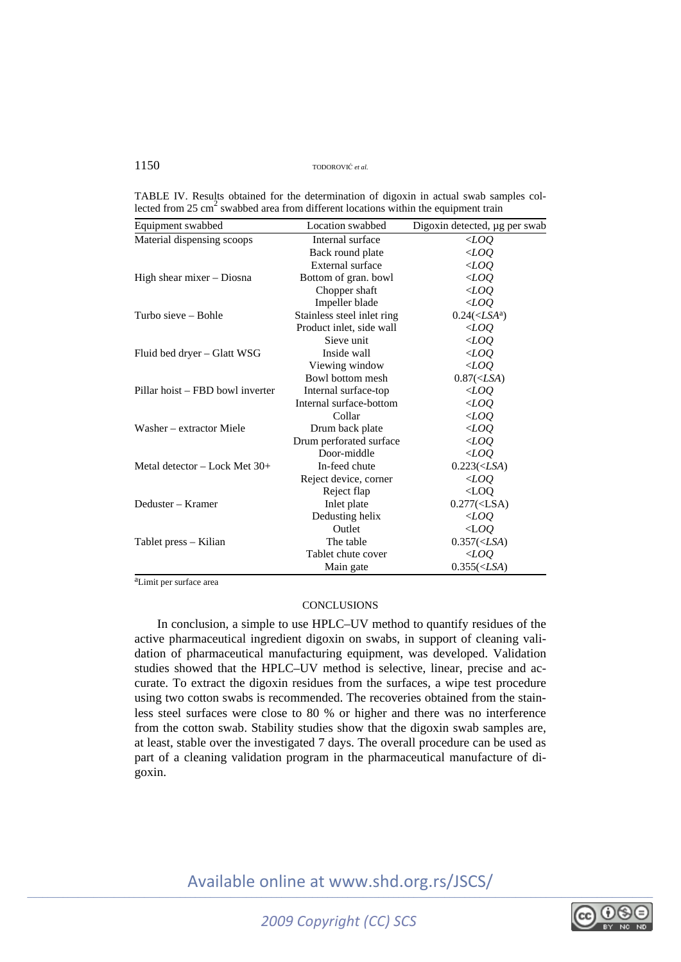| TABLE IV. Results obtained for the determination of digoxin in actual swab samples col-         |  |  |  |  |  |
|-------------------------------------------------------------------------------------------------|--|--|--|--|--|
| lected from 25 cm <sup>2</sup> swabbed area from different locations within the equipment train |  |  |  |  |  |

| Equipment swabbed                | Location swabbed           | Digoxin detected, µg per swab      |
|----------------------------------|----------------------------|------------------------------------|
| Material dispensing scoops       | Internal surface           | $<\!\!\mathit{LOQ}$                |
|                                  | Back round plate           | $<$ LOQ                            |
|                                  | External surface           | $\langle LOQ \rangle$              |
| High shear mixer – Diosna        | Bottom of gran. bowl       | $<$ LOQ                            |
|                                  | Chopper shaft              | $<$ LOQ                            |
|                                  | Impeller blade             | $<$ LOQ                            |
| Turbo sieve – Bohle              | Stainless steel inlet ring | $0.24(<$ <i>LSA</i> <sup>a</sup> ) |
|                                  | Product inlet, side wall   | $<$ LOO                            |
|                                  | Sieve unit                 | $<$ LOQ                            |
| Fluid bed dryer – Glatt WSG      | Inside wall                | $\langle LOQ$                      |
|                                  | Viewing window             | $\triangle$ LOQ                    |
|                                  | Bowl bottom mesh           | $0.87(<$ LSA)                      |
| Pillar hoist – FBD bowl inverter | Internal surface-top       | $<$ LOQ                            |
|                                  | Internal surface-bottom    | $<$ LOQ                            |
|                                  | Collar                     | $<$ LOQ                            |
| Washer – extractor Miele         | Drum back plate            | $<$ LOQ                            |
|                                  | Drum perforated surface    | $\triangle$ LOQ                    |
|                                  | Door-middle                | $\triangle$ LOQ                    |
| Metal detector $-$ Lock Met 30+  | In-feed chute              | $0.223(<$ LSA)                     |
|                                  | Reject device, corner      | $<\!\!\!LOO$                       |
|                                  | Reject flap                | $<$ LOQ                            |
| Deduster – Kramer                | Inlet plate                | $0.277(<$ LSA)                     |
|                                  | Dedusting helix            | $<\!\!\!LOO$                       |
|                                  | Outlet                     | $\triangle$ LOQ                    |
| Tablet press – Kilian            | The table                  | $0.357(<$ LSA)                     |
|                                  | Tablet chute cover         | $<\!\!\mathit{LOQ}$                |
|                                  | Main gate                  | $0.355(<$ LSA)                     |

aLimit per surface area

### **CONCLUSIONS**

In conclusion, a simple to use HPLC–UV method to quantify residues of the active pharmaceutical ingredient digoxin on swabs, in support of cleaning validation of pharmaceutical manufacturing equipment, was developed. Validation studies showed that the HPLC–UV method is selective, linear, precise and accurate. To extract the digoxin residues from the surfaces, a wipe test procedure using two cotton swabs is recommended. The recoveries obtained from the stainless steel surfaces were close to 80 % or higher and there was no interference from the cotton swab. Stability studies show that the digoxin swab samples are, at least, stable over the investigated 7 days. The overall procedure can be used as part of a cleaning validation program in the pharmaceutical manufacture of digoxin.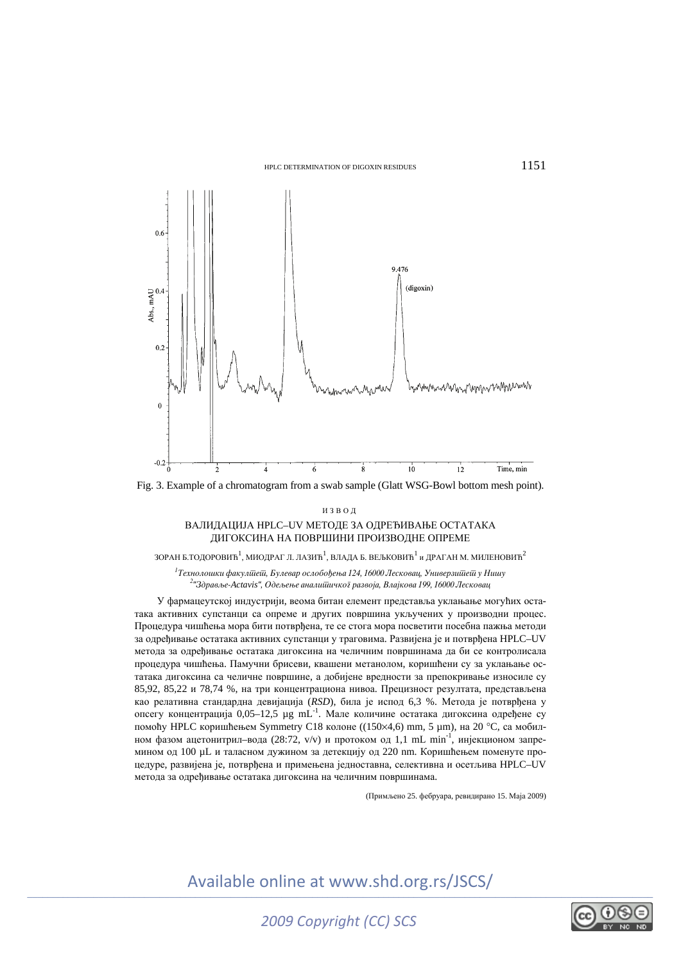



#### ИЗВОД

#### ВАЛИДАЦИЈА HPLC–UV МЕТОДЕ ЗА ОДРЕЂИВАЊЕ ОСТАТАКА ДИГОКСИНА НА ПОВРШИНИ ПРОИЗВОДНЕ ОПРЕМЕ

ЗОРАН Б.ТОДОРОВИЋ $^1$ , МИОДРАГ Л. ЛАЗИЋ $^1$ , ВЛАДА Б. ВЕЉКОВИЋ $^1$  и ДРАГАН М. МИЛЕНОВИЋ $^2$ 

<sup>1</sup> Технолошки факулійейі, Булевар ослобођења 124, 16000 Лесковац, Универзийейі у Нишу<br>2. <sup>2. из</sup>драва в Асітуів". Одва ви в аналийникої развоїв. Влайкова 100, 16000 Лескован <sup>2</sup> "Здравље-Actavis", Одељење аналишичког развоја, Влајкова 199, 16000 Лесковац

У фармацеутској индустрији, веома битан елемент представља уклањање могућих остатака активних супстанци са опреме и других површина укључених у производни процес. Процедура чишћења мора бити потврђена, те се стога мора посветити посебна пажња методи за одређивање остатака активних супстанци у траговима. Развијена је и потврђена HPLC–UV метода за одређивање остатака дигоксина на челичним површинама да би се контролисала процедура чишћења. Памучни брисеви, квашени метанолом, коришћени су за уклањање остатака дигоксина са челичне површине, а добијене вредности за препокривање износиле су 85,92, 85,22 и 78,74 %, на три концентрациона нивоа. Прецизност резултата, представљена као релативна стандардна девијација (*RSD*), била је испод 6,3 %. Метода је потврђена у опсегу концентрација 0,05–12,5 µg mL-1. Мале количине остатака дигоксина одређене су помоћу HPLC коришћењем Symmetry C18 колоне ((150×4,6) mm, 5 µm), на 20 °C, са мобилном фазом ацетонитрил–вода (28:72, v/v) и протоком од 1,1 mL min<sup>-1</sup>, инјекционом запремином од 100 µL и таласном дужином за детекцију од 220 nm. Коришћењем поменуте процедуре, развијена је, потврђена и примењена једноставна, селективна и осетљива HPLC–UV метода за одређивање остатака дигоксина на челичним површинама.

(Примљено 25. фебруара, ревидирано 15. Маја 2009)

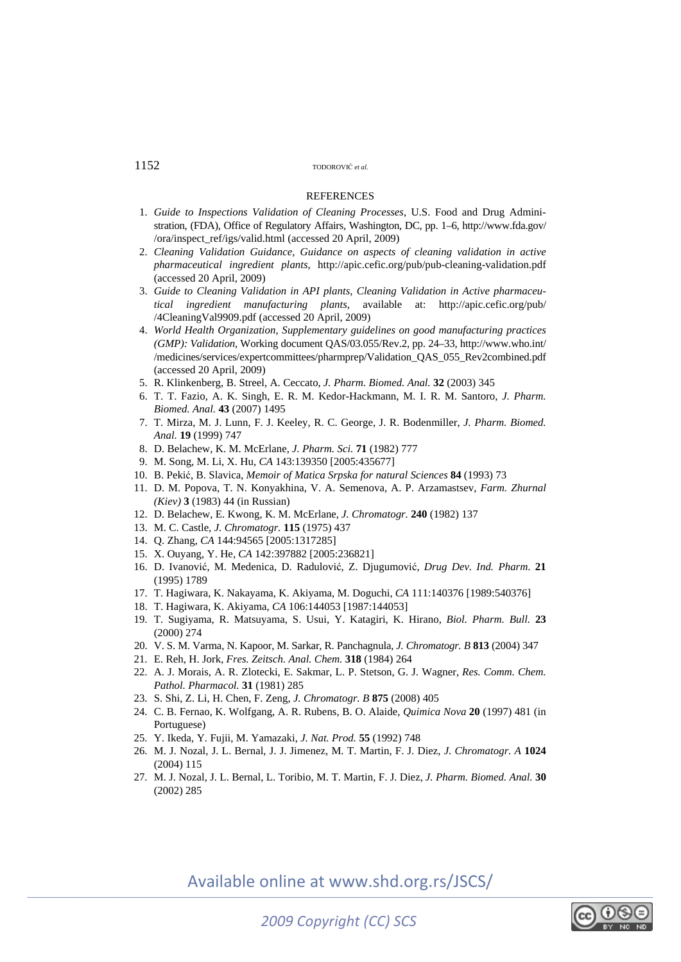#### **REFERENCES**

- 1. *Guide to Inspections Validation of Cleaning Processes*, U.S. Food and Drug Administration, (FDA), Office of Regulatory Affairs, Washington, DC, pp. 1–6, http://www.fda.gov/ /ora/inspect\_ref/igs/valid.html (accessed 20 April, 2009)
- 2. *Cleaning Validation Guidance, Guidance on aspects of cleaning validation in active pharmaceutical ingredient plants*, http://apic.cefic.org/pub/pub-cleaning-validation.pdf (accessed 20 April, 2009)
- 3. *Guide to Cleaning Validation in API plants, Cleaning Validation in Active pharmaceutical ingredient manufacturing plants*, available at: http://apic.cefic.org/pub/ /4CleaningVal9909.pdf (accessed 20 April, 2009)
- 4. *World Health Organization, Supplementary guidelines on good manufacturing practices (GMP): Validation*, Working document QAS/03.055/Rev.2, pp. 24–33, http://www.who.int/ /medicines/services/expertcommittees/pharmprep/Validation\_QAS\_055\_Rev2combined.pdf (accessed 20 April, 2009)
- 5. R. Klinkenberg, B. Streel, A. Ceccato, *J. Pharm. Biomed. Anal.* **32** (2003) 345
- 6. T. T. Fazio, A. K. Singh, E. R. M. Kedor-Hackmann, M. I. R. M. Santoro, *J. Pharm. Biomed. Anal.* **43** (2007) 1495
- 7. T. Mirza, M. J. Lunn, F. J. Keeley, R. C. George, J. R. Bodenmiller, *J. Pharm. Biomed. Anal.* **19** (1999) 747
- 8. D. Belachew, K. M. McErlane, *J. Pharm. Sci.* **71** (1982) 777
- 9. M. Song, M. Li, X. Hu, *CA* 143:139350 [2005:435677]
- 10. B. Pekić, B. Slavica, *Memoir of Matica Srpska for natural Sciences* **84** (1993) 73
- 11. D. M. Popova, T. N. Konyakhina, V. A. Semenova, A. P. Arzamastsev, *Farm. Zhurnal (Kiev)* **3** (1983) 44 (in Russian)
- 12. D. Belachew, E. Kwong, K. M. McErlane, *J. Chromatogr.* **240** (1982) 137
- 13. M. C. Castle, *J. Chromatogr.* **115** (1975) 437
- 14. Q. Zhang, *CA* 144:94565 [2005:1317285]
- 15. X. Ouyang, Y. He, *CA* 142:397882 [2005:236821]
- 16. D. Ivanović, M. Medenica, D. Radulović, Z. Djugumović, *Drug Dev. Ind. Pharm*. **21** (1995) 1789
- 17. T. Hagiwara, K. Nakayama, K. Akiyama, M. Doguchi, *CA* 111:140376 [1989:540376]
- 18. T. Hagiwara, K. Akiyama, *CA* 106:144053 [1987:144053]
- 19. T. Sugiyama, R. Matsuyama, S. Usui, Y. Katagiri, K. Hirano, *Biol. Pharm. Bull.* **23** (2000) 274
- 20. V. S. M. Varma, N. Kapoor, M. Sarkar, R. Panchagnula, *J. Chromatogr. B* **813** (2004) 347
- 21. E. Reh, H. Jork, *Fres. Zeitsch. Anal. Chem.* **318** (1984) 264
- 22. A. J. Morais, A. R. Zlotecki, E. Sakmar, L. P. Stetson, G. J. Wagner, *Res. Comm. Chem. Pathol. Pharmacol.* **31** (1981) 285
- 23. S. Shi, Z. Li, H. Chen, F. Zeng, *J. Chromatogr. B* **875** (2008) 405
- 24. C. B. Fernao, K. Wolfgang, A. R. Rubens, B. O. Alaide, *Quimica Nova* **20** (1997) 481 (in Portuguese)
- 25. Y. Ikeda, Y. Fujii, M. Yamazaki, *J. Nat. Prod.* **55** (1992) 748
- 26. M. J. Nozal, J. L. Bernal, J. J. Jimenez, M. T. Martin, F. J. Diez, *J. Chromatogr. A* **1024** (2004) 115
- 27. M. J. Nozal, J. L. Bernal, L. Toribio, M. T. Martin, F. J. Diez, *J. Pharm. Biomed. Anal.* **30** (2002) 285